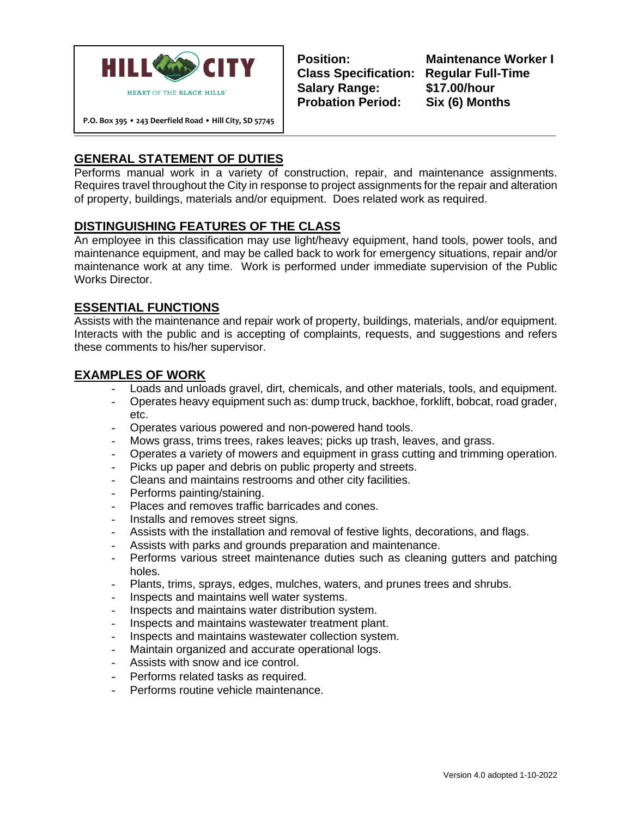

**Class Specification: Regular Full-Time Salary Range: \$17.00/hour Probation Period: Six (6) Months**

**Position: Maintenance Worker I**

# **GENERAL STATEMENT OF DUTIES**

Performs manual work in a variety of construction, repair, and maintenance assignments. Requires travel throughout the City in response to project assignments for the repair and alteration of property, buildings, materials and/or equipment. Does related work as required.

**\_\_\_\_\_\_\_\_\_\_\_\_\_\_\_\_\_\_\_\_\_\_\_\_\_\_\_\_\_\_\_\_\_\_\_\_\_\_\_\_\_\_\_\_\_\_\_\_\_\_\_\_\_\_\_\_\_\_\_\_\_\_\_\_\_\_\_\_\_\_**

## **DISTINGUISHING FEATURES OF THE CLASS**

An employee in this classification may use light/heavy equipment, hand tools, power tools, and maintenance equipment, and may be called back to work for emergency situations, repair and/or maintenance work at any time. Work is performed under immediate supervision of the Public Works Director.

### **ESSENTIAL FUNCTIONS**

Assists with the maintenance and repair work of property, buildings, materials, and/or equipment. Interacts with the public and is accepting of complaints, requests, and suggestions and refers these comments to his/her supervisor.

### **EXAMPLES OF WORK**

- Loads and unloads gravel, dirt, chemicals, and other materials, tools, and equipment.
- Operates heavy equipment such as: dump truck, backhoe, forklift, bobcat, road grader, etc.
- Operates various powered and non-powered hand tools.
- Mows grass, trims trees, rakes leaves; picks up trash, leaves, and grass.
- Operates a variety of mowers and equipment in grass cutting and trimming operation.
- Picks up paper and debris on public property and streets.
- Cleans and maintains restrooms and other city facilities.
- Performs painting/staining.
- Places and removes traffic barricades and cones.
- Installs and removes street signs.
- Assists with the installation and removal of festive lights, decorations, and flags.
- Assists with parks and grounds preparation and maintenance.
- Performs various street maintenance duties such as cleaning gutters and patching holes.
- Plants, trims, sprays, edges, mulches, waters, and prunes trees and shrubs.
- Inspects and maintains well water systems.
- Inspects and maintains water distribution system.
- Inspects and maintains wastewater treatment plant.
- Inspects and maintains wastewater collection system.
- Maintain organized and accurate operational logs.
- Assists with snow and ice control.
- Performs related tasks as required.
- Performs routine vehicle maintenance.